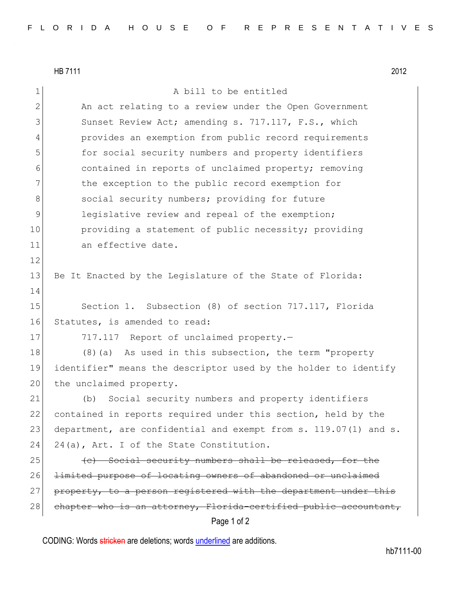HB 7111 2012

|                 | Page 1 of 2                                                      |
|-----------------|------------------------------------------------------------------|
| 28              | chapter who is an attorney, Florida-certified public accountant, |
| 27              | property, to a person registered with the department under this  |
| 26              | limited purpose of locating owners of abandoned or unclaimed     |
| 25              | (e) Social security numbers shall be released, for the           |
| 24              | 24(a), Art. I of the State Constitution.                         |
| 23              | department, are confidential and exempt from s. 119.07(1) and s. |
| 22              | contained in reports required under this section, held by the    |
| 21              | Social security numbers and property identifiers<br>(b)          |
| 20 <sub>1</sub> | the unclaimed property.                                          |
| 19              | identifier" means the descriptor used by the holder to identify  |
| 18              | (8) (a) As used in this subsection, the term "property           |
| 17              | 717.117 Report of unclaimed property.-                           |
| 16              | Statutes, is amended to read:                                    |
| 15              | Section 1. Subsection (8) of section 717.117, Florida            |
| 14              |                                                                  |
| 13              | Be It Enacted by the Legislature of the State of Florida:        |
| 12              |                                                                  |
| 11              | an effective date.                                               |
| 10              | providing a statement of public necessity; providing             |
| 9               | legislative review and repeal of the exemption;                  |
| 8               | social security numbers; providing for future                    |
| 7               | the exception to the public record exemption for                 |
| 6               | contained in reports of unclaimed property; removing             |
| 5               | for social security numbers and property identifiers             |
| 4               | provides an exemption from public record requirements            |
| 3               | Sunset Review Act; amending s. 717.117, F.S., which              |
| $\mathbf{2}$    | An act relating to a review under the Open Government            |
| $\mathbf 1$     | A bill to be entitled                                            |

CODING: Words stricken are deletions; words underlined are additions.